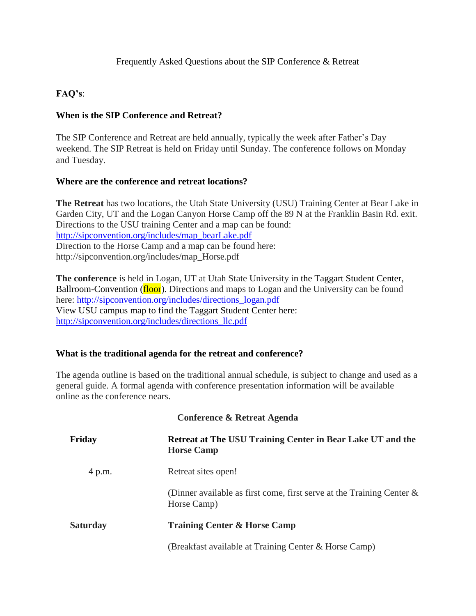## **FAQ's**:

## **When is the SIP Conference and Retreat?**

The SIP Conference and Retreat are held annually, typically the week after Father's Day weekend. The SIP Retreat is held on Friday until Sunday. The conference follows on Monday and Tuesday.

## **Where are the conference and retreat locations?**

**The Retreat** has two locations, the Utah State University (USU) Training Center at Bear Lake in Garden City, UT and the Logan Canyon Horse Camp off the 89 N at the Franklin Basin Rd. exit. Directions to the USU training Center and a map can be found: [http://sipconvention.org/includes/map\\_bearLake.pdf](http://sipconvention.org/includes/map_bearLake.pdf) Direction to the Horse Camp and a map can be found here: http://sipconvention.org/includes/map\_Horse.pdf

**The conference** is held in Logan, UT at Utah State University in the Taggart Student Center, Ballroom-Convention (floor). Directions and maps to Logan and the University can be found here: http://sipconvention.org/includes/directions logan.pdf View USU campus map to find the Taggart Student Center here: [http://sipconvention.org/includes/directions\\_llc.pdf](http://sipconvention.org/includes/directions_llc.pdf)

## **What is the traditional agenda for the retreat and conference?**

The agenda outline is based on the traditional annual schedule, is subject to change and used as a general guide. A formal agenda with conference presentation information will be available online as the conference nears.

| Conference & Retreat Agenda |                                                                                         |
|-----------------------------|-----------------------------------------------------------------------------------------|
| Friday                      | <b>Retreat at The USU Training Center in Bear Lake UT and the</b><br><b>Horse Camp</b>  |
| 4 p.m.                      | Retreat sites open!                                                                     |
|                             | (Dinner available as first come, first serve at the Training Center $\&$<br>Horse Camp) |
| <b>Saturday</b>             | <b>Training Center &amp; Horse Camp</b>                                                 |
|                             | (Breakfast available at Training Center & Horse Camp)                                   |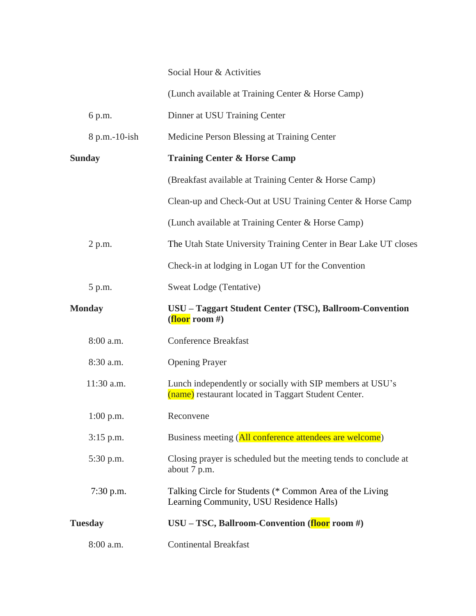Social Hour & Activities

(Lunch available at Training Center & Horse Camp)

6 p.m. Dinner at USU Training Center

8 p.m.-10-ish Medicine Person Blessing at Training Center

**Sunday Training Center & Horse Camp** (Breakfast available at Training Center & Horse Camp) Clean-up and Check-Out at USU Training Center & Horse Camp (Lunch available at Training Center & Horse Camp) 2 p.m. The Utah State University Training Center in Bear Lake UT closes Check-in at lodging in Logan UT for the Convention 5 p.m. Sweat Lodge (Tentative) **Monday USU – Taggart Student Center (TSC), Ballroom-Convention (floor room #)**  8:00 a.m. Conference Breakfast 8:30 a.m. Opening Prayer 11:30 a.m. Lunch independently or socially with SIP members at USU's (name) restaurant located in Taggart Student Center. 1:00 p.m. Reconvene 3:15 p.m. Business meeting (All conference attendees are welcome) 5:30 p.m. Closing prayer is scheduled but the meeting tends to conclude at about 7 p.m. 7:30 p.m. Talking Circle for Students (\* Common Area of the Living Learning Community, USU Residence Halls) **Tuesday USU – TSC, Ballroom-Convention (floor room #)** 8:00 a.m. Continental Breakfast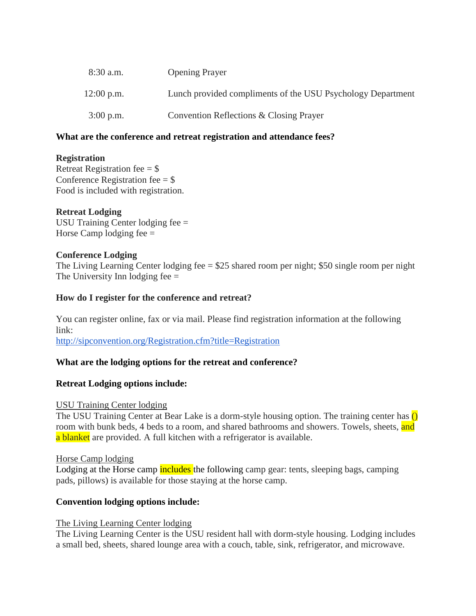| $8:30$ a.m.  | <b>Opening Prayer</b>                                       |
|--------------|-------------------------------------------------------------|
| $12:00$ p.m. | Lunch provided compliments of the USU Psychology Department |
| $3:00$ p.m.  | Convention Reflections & Closing Prayer                     |

### **What are the conference and retreat registration and attendance fees?**

### **Registration**

Retreat Registration fee  $=$  \$ Conference Registration fee  $=$  \$ Food is included with registration.

### **Retreat Lodging**

USU Training Center lodging fee = Horse Camp lodging fee  $=$ 

### **Conference Lodging**

The Living Learning Center lodging fee = \$25 shared room per night; \$50 single room per night The University Inn lodging  $fee =$ 

### **How do I register for the conference and retreat?**

You can register online, fax or via mail. Please find registration information at the following link: <http://sipconvention.org/Registration.cfm?title=Registration>

## **What are the lodging options for the retreat and conference?**

## **Retreat Lodging options include:**

#### USU Training Center lodging

The USU Training Center at Bear Lake is a dorm-style housing option. The training center has  $\overline{()}$ room with bunk beds, 4 beds to a room, and shared bathrooms and showers. Towels, sheets, and a blanket are provided. A full kitchen with a refrigerator is available.

#### Horse Camp lodging

Lodging at the Horse camp **includes** the following camp gear: tents, sleeping bags, camping pads, pillows) is available for those staying at the horse camp.

#### **Convention lodging options include:**

#### The Living Learning Center lodging

The Living Learning Center is the USU resident hall with dorm-style housing. Lodging includes a small bed, sheets, shared lounge area with a couch, table, sink, refrigerator, and microwave.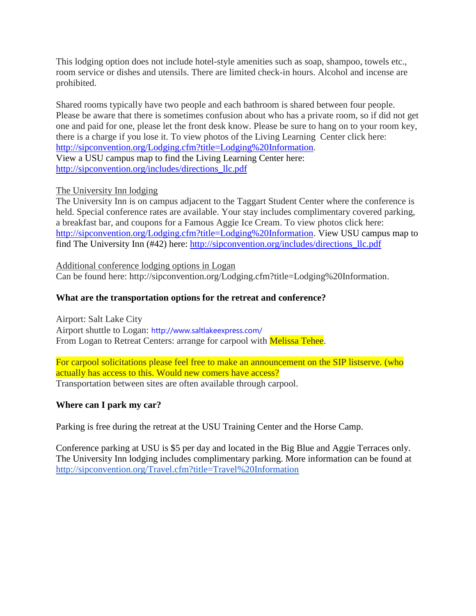This lodging option does not include hotel-style amenities such as soap, shampoo, towels etc., room service or dishes and utensils. There are limited check-in hours. Alcohol and incense are prohibited.

Shared rooms typically have two people and each bathroom is shared between four people. Please be aware that there is sometimes confusion about who has a private room, so if did not get one and paid for one, please let the front desk know. Please be sure to hang on to your room key, there is a charge if you lose it. To view photos of the Living Learning Center click here: [http://sipconvention.org/Lodging.cfm?title=Lodging%20Information.](http://sipconvention.org/Lodging.cfm?title=Lodging%20Information)

View a USU campus map to find the Living Learning Center here: [http://sipconvention.org/includes/directions\\_llc.pdf](http://sipconvention.org/includes/directions_llc.pdf)

# The University Inn lodging

The University Inn is on campus adjacent to the Taggart Student Center where the conference is held. Special conference rates are available. Your stay includes complimentary covered parking, a breakfast bar, and coupons for a Famous Aggie Ice Cream. To view photos click here: [http://sipconvention.org/Lodging.cfm?title=Lodging%20Information.](http://sipconvention.org/Lodging.cfm?title=Lodging%20Information) View USU campus map to find The University Inn (#42) here: [http://sipconvention.org/includes/directions\\_llc.pdf](http://sipconvention.org/includes/directions_llc.pdf)

Additional conference lodging options in Logan Can be found here: http://sipconvention.org/Lodging.cfm?title=Lodging%20Information.

## **What are the transportation options for the retreat and conference?**

Airport: Salt Lake City Airport shuttle to Logan: <http://www.saltlakeexpress.com/> From Logan to Retreat Centers: arrange for carpool with **Melissa Tehee.** 

For carpool solicitations please feel free to make an announcement on the SIP listserve. (who actually has access to this. Would new comers have access? Transportation between sites are often available through carpool.

## **Where can I park my car?**

Parking is free during the retreat at the USU Training Center and the Horse Camp.

Conference parking at USU is \$5 per day and located in the Big Blue and Aggie Terraces only. The University Inn lodging includes complimentary parking. More information can be found at <http://sipconvention.org/Travel.cfm?title=Travel%20Information>